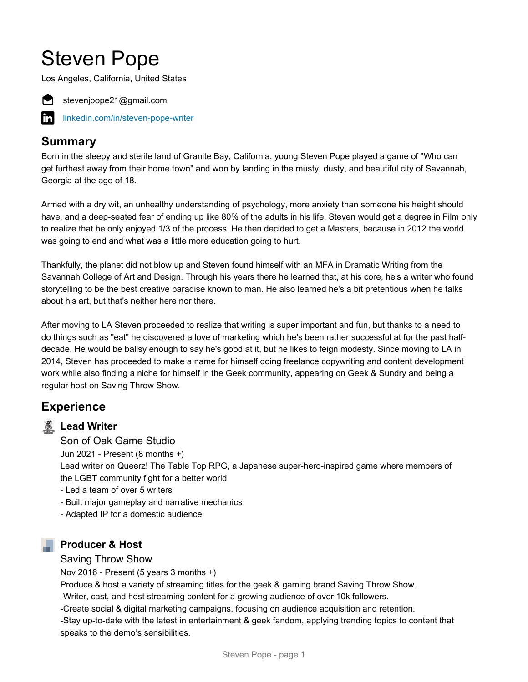# Steven Pope

Los Angeles, California, United States



stevenjpope21@gmail.com

[linkedin.com/in/steven-pope-writer](https://www.linkedin.com/in/steven-pope-writer)

# **Summary**

Born in the sleepy and sterile land of Granite Bay, California, young Steven Pope played a game of "Who can get furthest away from their home town" and won by landing in the musty, dusty, and beautiful city of Savannah, Georgia at the age of 18.

Armed with a dry wit, an unhealthy understanding of psychology, more anxiety than someone his height should have, and a deep-seated fear of ending up like 80% of the adults in his life, Steven would get a degree in Film only to realize that he only enjoyed 1/3 of the process. He then decided to get a Masters, because in 2012 the world was going to end and what was a little more education going to hurt.

Thankfully, the planet did not blow up and Steven found himself with an MFA in Dramatic Writing from the Savannah College of Art and Design. Through his years there he learned that, at his core, he's a writer who found storytelling to be the best creative paradise known to man. He also learned he's a bit pretentious when he talks about his art, but that's neither here nor there.

After moving to LA Steven proceeded to realize that writing is super important and fun, but thanks to a need to do things such as "eat" he discovered a love of marketing which he's been rather successful at for the past halfdecade. He would be ballsy enough to say he's good at it, but he likes to feign modesty. Since moving to LA in 2014, Steven has proceeded to make a name for himself doing freelance copywriting and content development work while also finding a niche for himself in the Geek community, appearing on Geek & Sundry and being a regular host on Saving Throw Show.

# **Experience**

# **Lead Writer**

Son of Oak Game Studio

Jun 2021 - Present (8 months +)

Lead writer on Queerz! The Table Top RPG, a Japanese super-hero-inspired game where members of the LGBT community fight for a better world.

- Led a team of over 5 writers
- Built major gameplay and narrative mechanics
- Adapted IP for a domestic audience

#### **Producer & Host**

#### Saving Throw Show

Nov 2016 - Present (5 years 3 months +)

Produce & host a variety of streaming titles for the geek & gaming brand Saving Throw Show.

-Writer, cast, and host streaming content for a growing audience of over 10k followers.

-Create social & digital marketing campaigns, focusing on audience acquisition and retention.

-Stay up-to-date with the latest in entertainment & geek fandom, applying trending topics to content that speaks to the demo's sensibilities.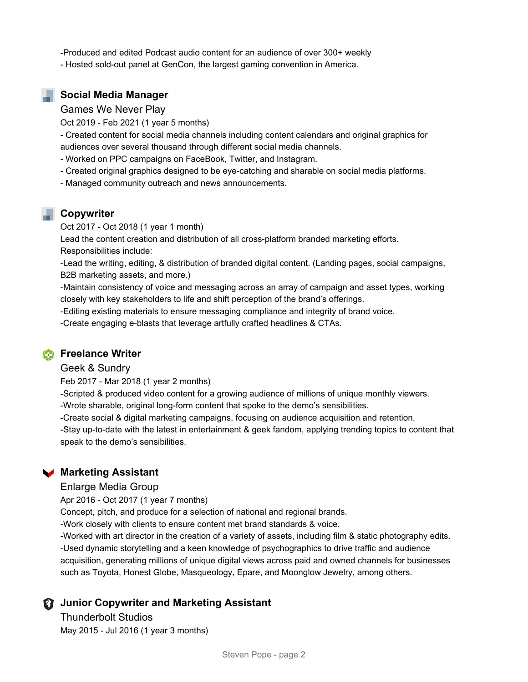-Produced and edited Podcast audio content for an audience of over 300+ weekly

- Hosted sold-out panel at GenCon, the largest gaming convention in America.

#### **Social Media Manager**

Games We Never Play

Oct 2019 - Feb 2021 (1 year 5 months)

- Created content for social media channels including content calendars and original graphics for audiences over several thousand through different social media channels.

- Worked on PPC campaigns on FaceBook, Twitter, and Instagram.
- Created original graphics designed to be eye-catching and sharable on social media platforms.
- Managed community outreach and news announcements.

#### **Copywriter**

Oct 2017 - Oct 2018 (1 year 1 month)

Lead the content creation and distribution of all cross-platform branded marketing efforts. Responsibilities include:

-Lead the writing, editing, & distribution of branded digital content. (Landing pages, social campaigns, B2B marketing assets, and more.)

-Maintain consistency of voice and messaging across an array of campaign and asset types, working closely with key stakeholders to life and shift perception of the brand's offerings.

-Editing existing materials to ensure messaging compliance and integrity of brand voice. -Create engaging e-blasts that leverage artfully crafted headlines & CTAs.

#### **Freelance Writer**

#### Geek & Sundry

Feb 2017 - Mar 2018 (1 year 2 months)

-Scripted & produced video content for a growing audience of millions of unique monthly viewers.

-Wrote sharable, original long-form content that spoke to the demo's sensibilities.

-Create social & digital marketing campaigns, focusing on audience acquisition and retention.

-Stay up-to-date with the latest in entertainment & geek fandom, applying trending topics to content that speak to the demo's sensibilities.

#### **Marketing Assistant**

#### Enlarge Media Group

Apr 2016 - Oct 2017 (1 year 7 months)

Concept, pitch, and produce for a selection of national and regional brands.

-Work closely with clients to ensure content met brand standards & voice.

-Worked with art director in the creation of a variety of assets, including film & static photography edits. -Used dynamic storytelling and a keen knowledge of psychographics to drive traffic and audience acquisition, generating millions of unique digital views across paid and owned channels for businesses such as Toyota, Honest Globe, Masqueology, Epare, and Moonglow Jewelry, among others.

#### **Junior Copywriter and Marketing Assistant**

Thunderbolt Studios May 2015 - Jul 2016 (1 year 3 months)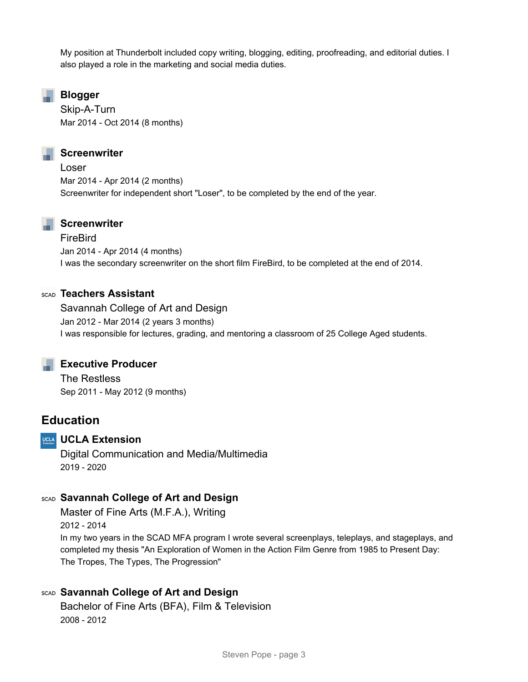My position at Thunderbolt included copy writing, blogging, editing, proofreading, and editorial duties. I also played a role in the marketing and social media duties.

#### **Blogger**

Skip-A-Turn Mar 2014 - Oct 2014 (8 months)

#### **Screenwriter**

Loser Mar 2014 - Apr 2014 (2 months) Screenwriter for independent short "Loser", to be completed by the end of the year.

#### **Screenwriter**

FireBird Jan 2014 - Apr 2014 (4 months) I was the secondary screenwriter on the short film FireBird, to be completed at the end of 2014.

#### **Teachers Assistant**

Savannah College of Art and Design Jan 2012 - Mar 2014 (2 years 3 months) I was responsible for lectures, grading, and mentoring a classroom of 25 College Aged students.

#### **Executive Producer**

The Restless Sep 2011 - May 2012 (9 months)

# **Education**

#### **UCLA Extension**

Digital Communication and Media/Multimedia 2019 - 2020

#### **Savannah College of Art and Design**

Master of Fine Arts (M.F.A.), Writing 2012 - 2014 In my two years in the SCAD MFA program I wrote several screenplays, teleplays, and stageplays, and completed my thesis "An Exploration of Women in the Action Film Genre from 1985 to Present Day: The Tropes, The Types, The Progression"

### **Savannah College of Art and Design**

Bachelor of Fine Arts (BFA), Film & Television 2008 - 2012